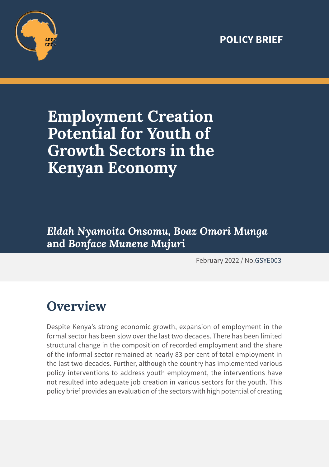#### **POLICY BRIEF**



# **Employment Creation Potential for Youth of Growth Sectors in the Kenyan Economy**

*Eldah Nyamoita Onsomu, Boaz Omori Munga*  **and** *Bonface Munene Mujuri*

February 2022 / No.GSYE003

## **Overview**

Despite Kenya's strong economic growth, expansion of employment in the formal sector has been slow over the last two decades. There has been limited structural change in the composition of recorded employment and the share of the informal sector remained at nearly 83 per cent of total employment in the last two decades. Further, although the country has implemented various policy interventions to address youth employment, the interventions have not resulted into adequate job creation in various sectors for the youth. This policy brief provides an evaluation of the sectors with high potential of creating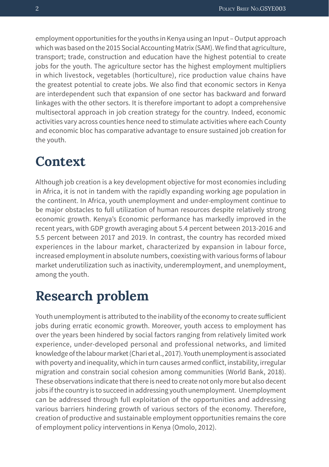employment opportunities for the youths in Kenya using an Input – Output approach which was based on the 2015 Social Accounting Matrix (SAM). We find that agriculture, transport; trade, construction and education have the highest potential to create jobs for the youth. The agriculture sector has the highest employment multipliers in which livestock, vegetables (horticulture), rice production value chains have the greatest potential to create jobs. We also find that economic sectors in Kenya are interdependent such that expansion of one sector has backward and forward linkages with the other sectors. It is therefore important to adopt a comprehensive multisectoral approach in job creation strategy for the country. Indeed, economic activities vary across counties hence need to stimulate activities where each County and economic bloc has comparative advantage to ensure sustained job creation for the youth.

#### **Context**

Although job creation is a key development objective for most economies including in Africa, it is not in tandem with the rapidly expanding working age population in the continent. In Africa, youth unemployment and under-employment continue to be major obstacles to full utilization of human resources despite relatively strong economic growth. Kenya's Economic performance has markedly improved in the recent years, with GDP growth averaging about 5.4 percent between 2013-2016 and 5.5 percent between 2017 and 2019. In contrast, the country has recorded mixed experiences in the labour market, characterized by expansion in labour force, increased employment in absolute numbers, coexisting with various forms of labour market underutilization such as inactivity, underemployment, and unemployment, among the youth.

#### **Research problem**

Youth unemployment is attributed to the inability of the economy to create sufficient jobs during erratic economic growth. Moreover, youth access to employment has over the years been hindered by social factors ranging from relatively limited work experience, under-developed personal and professional networks, and limited knowledge of the labour market (Chari et al., 2017). Youth unemployment is associated with poverty and inequality, which in turn causes armed conflict, instability, irregular migration and constrain social cohesion among communities (World Bank, 2018). These observations indicate that there is need to create not only more but also decent jobs if the country is to succeed in addressing youth unemployment. Unemployment can be addressed through full exploitation of the opportunities and addressing various barriers hindering growth of various sectors of the economy. Therefore, creation of productive and sustainable employment opportunities remains the core of employment policy interventions in Kenya (Omolo, 2012).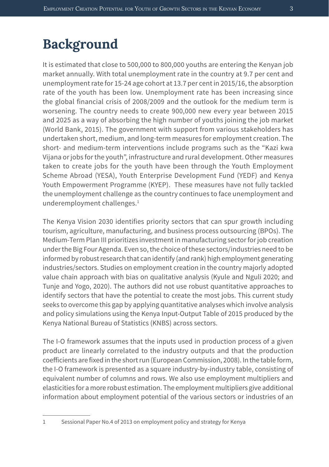### **Background**

It is estimated that close to 500,000 to 800,000 youths are entering the Kenyan job market annually. With total unemployment rate in the country at 9.7 per cent and unemployment rate for 15-24 age cohort at 13.7 per cent in 2015/16, the absorption rate of the youth has been low. Unemployment rate has been increasing since the global financial crisis of 2008/2009 and the outlook for the medium term is worsening. The country needs to create 900,000 new every year between 2015 and 2025 as a way of absorbing the high number of youths joining the job market (World Bank, 2015). The government with support from various stakeholders has undertaken short, medium, and long-term measures for employment creation. The short- and medium-term interventions include programs such as the "Kazi kwa Vijana or jobs for the youth", infrastructure and rural development. Other measures taken to create jobs for the youth have been through the Youth Employment Scheme Abroad (YESA), Youth Enterprise Development Fund (YEDF) and Kenya Youth Empowerment Programme (KYEP). These measures have not fully tackled the unemployment challenge as the country continues to face unemployment and underemployment challenges.<sup>1</sup>

The Kenya Vision 2030 identifies priority sectors that can spur growth including tourism, agriculture, manufacturing, and business process outsourcing (BPOs). The Medium-Term Plan III prioritizes investment in manufacturing sector for job creation under the Big Four Agenda. Even so, the choice of these sectors/industries need to be informed by robust research that can identify (and rank) high employment generating industries/sectors. Studies on employment creation in the country majorly adopted value chain approach with bias on qualitative analysis (Kyule and Nguli 2020; and Tunje and Yogo, 2020). The authors did not use robust quantitative approaches to identify sectors that have the potential to create the most jobs. This current study seeks to overcome this gap by applying quantitative analyses which involve analysis and policy simulations using the Kenya Input-Output Table of 2015 produced by the Kenya National Bureau of Statistics (KNBS) across sectors.

The I-O framework assumes that the inputs used in production process of a given product are linearly correlated to the industry outputs and that the production coefficients are fixed in the short run (European Commission, 2008). In the table form, the I-O framework is presented as a square industry-by-industry table, consisting of equivalent number of columns and rows. We also use employment multipliers and elasticities for a more robust estimation. The employment multipliers give additional information about employment potential of the various sectors or industries of an

<sup>1</sup> Sessional Paper No.4 of 2013 on employment policy and strategy for Kenya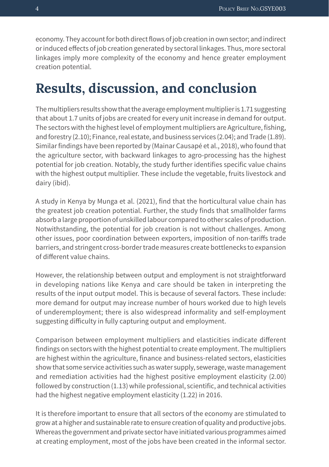economy. They account for both direct flows of job creation in own sector; and indirect or induced effects of job creation generated by sectoral linkages. Thus, more sectoral linkages imply more complexity of the economy and hence greater employment creation potential.

### **Results, discussion, and conclusion**

The multipliers results show that the average employment multiplier is 1.71 suggesting that about 1.7 units of jobs are created for every unit increase in demand for output. The sectors with the highest level of employment multipliers are Agriculture, fishing, and forestry (2.10); Finance, real estate, and business services (2.04); and Trade (1.89). Similar findings have been reported by (Mainar Causapé et al., 2018), who found that the agriculture sector, with backward linkages to agro-processing has the highest potential for job creation. Notably, the study further identifies specific value chains with the highest output multiplier. These include the vegetable, fruits livestock and dairy (ibid).

A study in Kenya by Munga et al. (2021), find that the horticultural value chain has the greatest job creation potential. Further, the study finds that smallholder farms absorb a large proportion of unskilled labour compared to other scales of production. Notwithstanding, the potential for job creation is not without challenges. Among other issues, poor coordination between exporters, imposition of non-tariffs trade barriers, and stringent cross-border trade measures create bottlenecks to expansion of different value chains.

However, the relationship between output and employment is not straightforward in developing nations like Kenya and care should be taken in interpreting the results of the input output model. This is because of several factors. These include: more demand for output may increase number of hours worked due to high levels of underemployment; there is also widespread informality and self-employment suggesting difficulty in fully capturing output and employment.

Comparison between employment multipliers and elasticities indicate different findings on sectors with the highest potential to create employment. The multipliers are highest within the agriculture, finance and business-related sectors, elasticities show that some service activities such as water supply, sewerage, waste management and remediation activities had the highest positive employment elasticity (2.00) followed by construction (1.13) while professional, scientific, and technical activities had the highest negative employment elasticity (1.22) in 2016.

It is therefore important to ensure that all sectors of the economy are stimulated to grow at a higher and sustainable rate to ensure creation of quality and productive jobs. Whereas the government and private sector have initiated various programmes aimed at creating employment, most of the jobs have been created in the informal sector.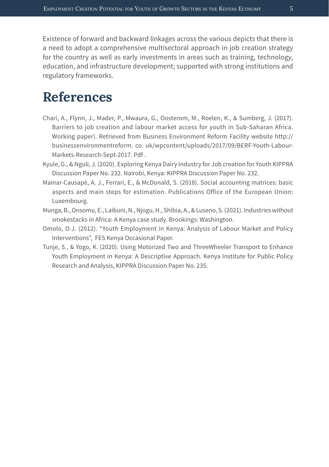Existence of forward and backward linkages across the various depicts that there is a need to adopt a comprehensive multisectoral approach in job creation strategy for the country as well as early investments in areas such as training, technology, education, and infrastructure development; supported with strong institutions and regulatory frameworks.

#### **References**

- Chari, A., Flynn, J., Mader, P., Mwaura, G., Oosterom, M., Roelen, K., & Sumberg, J. (2017). Barriers to job creation and labour market access for youth in Sub-Saharan Africa. Working paper). Retrieved from Business Environment Reform Facility website http:// businessenvironmentreform. co. uk/wpcontent/uploads/2017/09/BERF-Youth-Labour-Markets-Research-Sept-2017. Pdf .
- Kyule, G., & Nguli, J. (2020). Exploring Kenya Dairy Industry for Job creation for Youth KIPPRA Discussion Paper No. 232. Nairobi, Kenya: KIPPRA Discussion Paper No. 232.
- Mainar-Causapé, A. J., Ferrari, E., & McDonald, S. (2018). Social accounting matrices: basic aspects and main steps for estimation. Publications Office of the European Union: Luxembourg.
- Munga, B., Onsomu, E., Laibuni, N., Njogu, H., Shibia, A., & Luseno, S. (2021). Industries without smokestacks in Africa: A Kenya case study. Brookings: Washington.
- Omolo, O.J. (2012). "Youth Employment in Kenya: Analysis of Labour Market and Policy Interventions", FES Kenya Occasional Paper.
- Tunje, S., & Yogo, K. (2020). Using Motorized Two and ThreeWheeler Transport to Enhance Youth Employment in Kenya: A Descriptive Approach. Kenya Institute for Public Policy Research and Analysis, KIPPRA Discussion Paper No. 235.